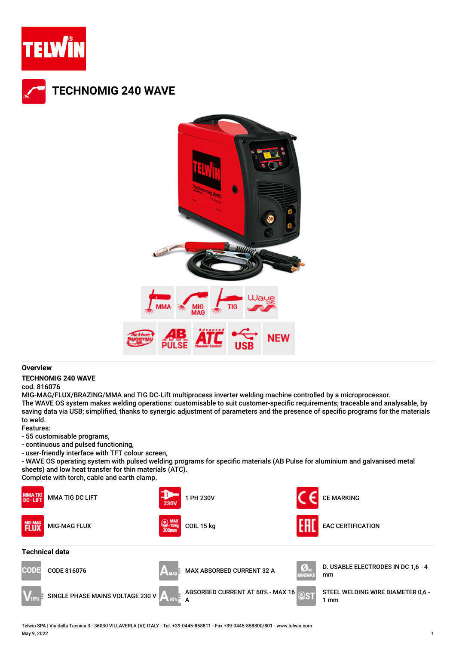



## **Overview**

## **TECHNOMIG 240 WAVE**

## cod. 816076

MIG-MAG/FLUX/BRAZING/MMA and TIG DC-Lift multiprocess inverter welding machine controlled by a microprocessor. The WAVE OS system makes welding operations: customisable to suit customer-specific requirements; traceable and analysable, by saving data via USB; simplified, thanks to synergic adjustment of parameters and the presence of specific programs for the materials to weld.

Features:

- 55 customisable programs,
- continuous and pulsed functioning,
- user-friendly interface with TFT colour screen,

- WAVE OS operating system with pulsed welding programs for specific materials (AB Pulse for aluminium and galvanised metal sheets) and low heat transfer for thin materials (ATC).

Complete with torch, cable and earth clamp.



Telwin SPA | Via della Tecnica 3 - 36030 VILLAVERLA (VI) ITALY - Tel. +39-0445-858811 - Fax +39-0445-858800/801 - www.telwin.com May 9, 2022 1